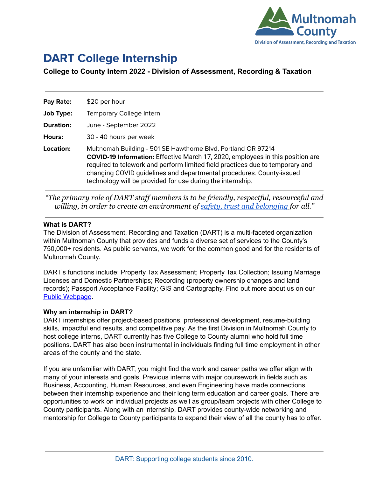

# **DART College Internship**

## **College to County Intern 2022 - Division of Assessment, Recording & Taxation**

| Pay Rate:        | \$20 per hour                                                                                                                                                                                                                                                                                                                                                                 |
|------------------|-------------------------------------------------------------------------------------------------------------------------------------------------------------------------------------------------------------------------------------------------------------------------------------------------------------------------------------------------------------------------------|
| <b>Job Type:</b> | Temporary College Intern                                                                                                                                                                                                                                                                                                                                                      |
| Duration:        | June - September 2022                                                                                                                                                                                                                                                                                                                                                         |
| Hours:           | 30 - 40 hours per week                                                                                                                                                                                                                                                                                                                                                        |
| Location:        | Multnomah Building - 501 SE Hawthorne Blvd, Portland OR 97214<br><b>COVID-19 Information:</b> Effective March 17, 2020, employees in this position are<br>required to telework and perform limited field practices due to temporary and<br>changing COVID guidelines and departmental procedures. County-issued<br>technology will be provided for use during the internship. |

*"The primary role of DART staff members is to be friendly, respectful, resourceful and willing, in order to create an environment of safety, [trust and belonging](https://multco.us/safety-trust-and-belonging-workforce-equity-initiative) for all."*

#### **What is DART?**

The Division of Assessment, Recording and Taxation (DART) is a multi-faceted organization within Multnomah County that provides and funds a diverse set of services to the County's 750,000+ residents. As public servants, we work for the common good and for the residents of Multnomah County.

DART's functions include: Property Tax Assessment; Property Tax Collection; Issuing Marriage Licenses and Domestic Partnerships; Recording (property ownership changes and land records); Passport Acceptance Facility; GIS and Cartography. Find out more about us on our Public [Webpage.](https://multco.us/assessment-taxation)

#### **Why an internship in DART?**

DART internships offer project-based positions, professional development, resume-building skills, impactful end results, and competitive pay. As the first Division in Multnomah County to host college interns, DART currently has five College to County alumni who hold full time positions. DART has also been instrumental in individuals finding full time employment in other areas of the county and the state.

If you are unfamiliar with DART, you might find the work and career paths we offer align with many of your interests and goals. Previous interns with major coursework in fields such as Business, Accounting, Human Resources, and even Engineering have made connections between their internship experience and their long term education and career goals. There are opportunities to work on individual projects as well as group/team projects with other College to County participants. Along with an internship, DART provides county-wide networking and mentorship for College to County participants to expand their view of all the county has to offer.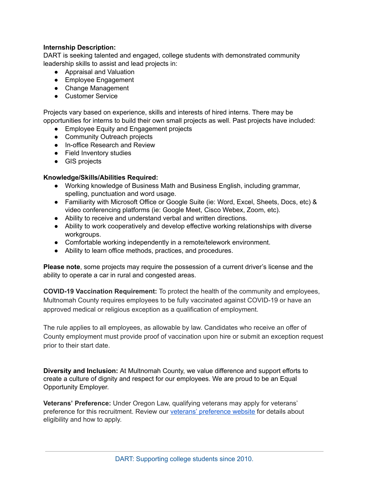### **Internship Description:**

DART is seeking talented and engaged, college students with demonstrated community leadership skills to assist and lead projects in:

- Appraisal and Valuation
- Employee Engagement
- Change Management
- Customer Service

Projects vary based on experience, skills and interests of hired interns. There may be opportunities for interns to build their own small projects as well. Past projects have included:

- Employee Equity and Engagement projects
- Community Outreach projects
- In-office Research and Review
- Field Inventory studies
- GIS projects

#### **Knowledge/Skills/Abilities Required:**

- Working knowledge of Business Math and Business English, including grammar, spelling, punctuation and word usage.
- Familiarity with Microsoft Office or Google Suite (ie: Word, Excel, Sheets, Docs, etc) & video conferencing platforms (ie: Google Meet, Cisco Webex, Zoom, etc).
- Ability to receive and understand verbal and written directions.
- Ability to work cooperatively and develop effective working relationships with diverse workgroups.
- Comfortable working independently in a remote/telework environment.
- Ability to learn office methods, practices, and procedures.

**Please note**, some projects may require the possession of a current driver's license and the ability to operate a car in rural and congested areas.

**COVID-19 Vaccination Requirement:** To protect the health of the community and employees, Multnomah County requires employees to be fully vaccinated against COVID-19 or have an approved medical or religious exception as a qualification of employment.

The rule applies to all employees, as allowable by law. Candidates who receive an offer of County employment must provide proof of vaccination upon hire or submit an exception request prior to their start date.

**Diversity and Inclusion:** At Multnomah County, we value difference and support efforts to create a culture of dignity and respect for our employees. We are proud to be an Equal Opportunity Employer.

**Veterans' Preference:** Under Oregon Law, qualifying veterans may apply for veterans' preference for this recruitment. Review our veterans' [preference](http://multco.us/jobs/veterans-preference-information-and-instructions) website for details about eligibility and how to apply.